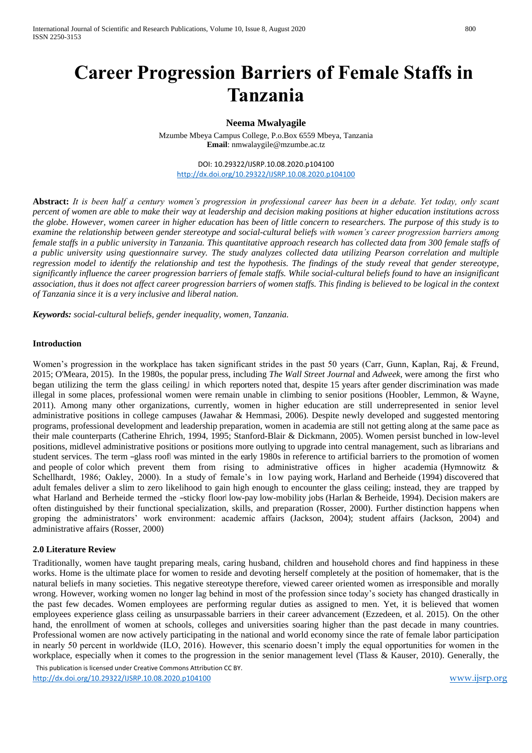# **Career Progression Barriers of Female Staffs in Tanzania**

# **Neema Mwalyagile**

Mzumbe Mbeya Campus College, P.o.Box 6559 Mbeya, Tanzania **Email**[: nmwalaygile@mzumbe.ac.tz](mailto:nmwalaygile@mzumbe.ac.tz)

DOI: 10.29322/IJSRP.10.08.2020.p104100 <http://dx.doi.org/10.29322/IJSRP.10.08.2020.p104100>

**Abstract:** *It is been half a century women's progression in professional career has been in a debate. Yet today, only scant percent of women are able to make their way at leadership and decision making positions at higher education institutions across the globe. However, women career in higher education has been of little concern to researchers. The purpose of this study is to examine the relationship between gender stereotype and social-cultural beliefs with women's career progression barriers among female staffs in a public university in Tanzania. This quantitative approach research has collected data from 300 female staffs of a public university using questionnaire survey. The study analyzes collected data utilizing Pearson correlation and multiple regression model to identify the relationship and test the hypothesis. The findings of the study reveal that gender stereotype, significantly influence the career progression barriers of female staffs. While social-cultural beliefs found to have an insignificant association, thus it does not affect career progression barriers of women staffs. This finding is believed to be logical in the context of Tanzania since it is a very inclusive and liberal nation.* 

*Keywords: social-cultural beliefs, gender inequality, women, Tanzania.*

#### **Introduction**

Women's progression in the workplace has taken significant strides in the past 50 years (Carr, Gunn, Kaplan, Raj, & Freund, 2015; O'Meara, 2015). In the 1980s, the popular press, including *The Wall Street Journal* and *Adweek*, were among the first who began utilizing the term the glass ceiling, in which reporters noted that, despite 15 years after gender discrimination was made illegal in some places, professional women were remain unable in climbing to senior positions (Hoobler, Lemmon, & Wayne, 2011). Among many other organizations, currently, women in higher education are still underrepresented in senior level administrative positions in college campuses (Jawahar & Hemmasi, 2006). Despite newly developed and suggested mentoring programs, professional development and leadership preparation, women in academia are still not getting along at the same pace as their male counterparts (Catherine Ehrich, 1994, 1995; Stanford-Blair & Dickmann, 2005). Women persist bunched in low-level positions, midlevel administrative positions or positions more outlying to upgrade into central management, such as librarians and student services. The term –glass roofl was minted in the early 1980s in reference to artificial barriers to the promotion of women and people of color which prevent them from rising to administrative offices in higher academia (Hymnowitz & Schellhardt, 1986; Oakley, 2000). In a study of female's in low paying work, Harland and Berheide (1994) discovered that adult females deliver a slim to zero likelihood to gain high enough to encounter the glass ceiling; instead, they are trapped by what Harland and Berheide termed the -sticky floorl low-pay low-mobility jobs (Harlan & Berheide, 1994). Decision makers are often distinguished by their functional specialization, skills, and preparation (Rosser, 2000). Further distinction happens when groping the administrators' work environment: academic affairs (Jackson, 2004); student affairs (Jackson, 2004) and administrative affairs (Rosser, 2000)

#### **2.0 Literature Review**

Traditionally, women have taught preparing meals, caring husband, children and household chores and find happiness in these works. Home is the ultimate place for women to reside and devoting herself completely at the position of homemaker, that is the natural beliefs in many societies. This negative stereotype therefore, viewed career oriented women as irresponsible and morally wrong. However, working women no longer lag behind in most of the profession since today's society has changed drastically in the past few decades. Women employees are performing regular duties as assigned to men. Yet, it is believed that women employees experience glass ceiling as unsurpassable barriers in their career advancement (Ezzedeen, et al. 2015). On the other hand, the enrollment of women at schools, colleges and universities soaring higher than the past decade in many countries. Professional women are now actively participating in the national and world economy since the rate of female labor participation in nearly 50 percent in worldwide (ILO, 2016). However, this scenario doesn't imply the equal opportunities for women in the workplace, especially when it comes to the progression in the senior management level (Tlass & Kauser, 2010). Generally, the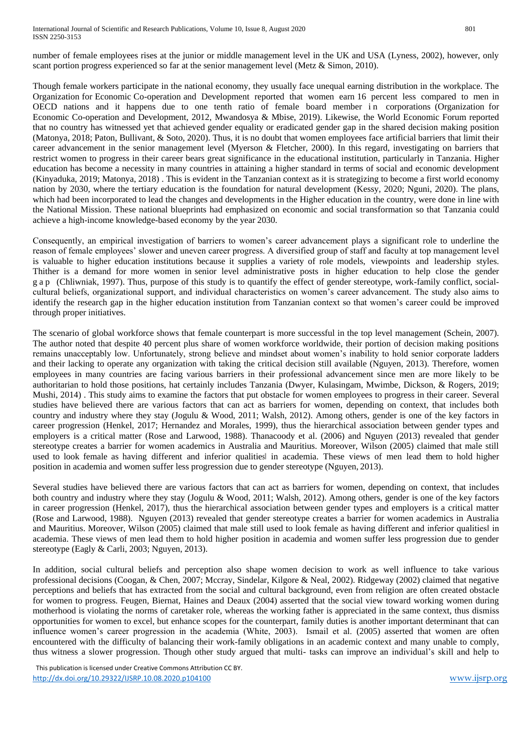number of female employees rises at the junior or middle management level in the UK and USA (Lyness, 2002), however, only scant portion progress experienced so far at the senior management level (Metz & Simon, 2010).

Though female workers participate in the national economy, they usually face unequal earning distribution in the workplace. The Organization for Economic Co-operation and Development reported that women earn 16 percent less compared to men in OECD nations and it happens due to one tenth ratio of female board member in corporations (Organization for Economic Co-operation and Development, 2012, Mwandosya & Mbise, 2019). Likewise, the World Economic Forum reported that no country has witnessed yet that achieved gender equality or eradicated gender gap in the shared decision making position (Matonya, 2018; Paton, Bullivant, & Soto, 2020). Thus, it is no doubt that women employees face artificial barriers that limit their career advancement in the senior management level (Myerson & Fletcher, 2000). In this regard, investigating on barriers that restrict women to progress in their career bears great significance in the educational institution, particularly in Tanzania. Higher education has become a necessity in many countries in attaining a higher standard in terms of social and economic development (Kinyaduka, 2019; Matonya, 2018) . This is evident in the Tanzanian context as it is strategizing to become a first world economy nation by 2030, where the tertiary education is the foundation for natural development (Kessy, 2020; Nguni, 2020). The plans, which had been incorporated to lead the changes and developments in the Higher education in the country, were done in line with the National Mission. These national blueprints had emphasized on economic and social transformation so that Tanzania could achieve a high-income knowledge-based economy by the year 2030.

Consequently, an empirical investigation of barriers to women's career advancement plays a significant role to underline the reason of female employees' slower and uneven career progress. A diversified group of staff and faculty at top management level is valuable to higher education institutions because it supplies a variety of role models, viewpoints and leadership styles. Thither is a demand for more women in senior level administrative posts in higher education to help close the gender g a p (Chliwniak, 1997). Thus, purpose of this study is to quantify the effect of gender stereotype, work-family conflict, socialcultural beliefs, organizational support, and individual characteristics on women's career advancement. The study also aims to identify the research gap in the higher education institution from Tanzanian context so that women's career could be improved through proper initiatives.

The scenario of global workforce shows that female counterpart is more successful in the top level management (Schein, 2007). The author noted that despite 40 percent plus share of women workforce worldwide, their portion of decision making positions remains unacceptably low. Unfortunately, strong believe and mindset about women's inability to hold senior corporate ladders and their lacking to operate any organization with taking the critical decision still available (Nguyen, 2013). Therefore, women employees in many countries are facing various barriers in their professional advancement since men are more likely to be authoritarian to hold those positions, hat certainly includes Tanzania (Dwyer, Kulasingam, Mwimbe, Dickson, & Rogers, 2019; Mushi, 2014) . This study aims to examine the factors that put obstacle for women employees to progress in their career. Several studies have believed there are various factors that can act as barriers for women, depending on context, that includes both country and industry where they stay (Jogulu & Wood, 2011; Walsh, 2012). Among others, gender is one of the key factors in career progression (Henkel, 2017; Hernandez and Morales, 1999), thus the hierarchical association between gender types and employers is a critical matter (Rose and Larwood, 1988). Thanacoody et al. (2006) and Nguyen (2013) revealed that gender stereotype creates a barrier for women academics in Australia and Mauritius. Moreover, Wilson (2005) claimed that male still used to look female as having different and inferior qualities in academia. These views of men lead them to hold higher position in academia and women suffer less progression due to gender stereotype (Nguyen, 2013).

Several studies have believed there are various factors that can act as barriers for women, depending on context, that includes both country and industry where they stay (Jogulu & Wood, 2011; Walsh, 2012). Among others, gender is one of the key factors in career progression (Henkel, 2017), thus the hierarchical association between gender types and employers is a critical matter (Rose and Larwood, 1988). Nguyen (2013) revealed that gender stereotype creates a barrier for women academics in Australia and Mauritius. Moreover, Wilson (2005) claimed that male still used to look female as having different and inferior qualitiesl in academia. These views of men lead them to hold higher position in academia and women suffer less progression due to gender stereotype (Eagly & Carli, 2003; Nguyen, 2013).

In addition, social cultural beliefs and perception also shape women decision to work as well influence to take various professional decisions (Coogan, & Chen, 2007; Mccray, Sindelar, Kilgore & Neal, 2002). Ridgeway (2002) claimed that negative perceptions and beliefs that has extracted from the social and cultural background, even from religion are often created obstacle for women to progress. Feugen, Biernat, Haines and Deaux (2004) asserted that the social view toward working women during motherhood is violating the norms of caretaker role, whereas the working father is appreciated in the same context, thus dismiss opportunities for women to excel, but enhance scopes for the counterpart, family duties is another important determinant that can influence women's career progression in the academia (White, 2003). Ismail et al. (2005) asserted that women are often encountered with the difficulty of balancing their work-family obligations in an academic context and many unable to comply, thus witness a slower progression. Though other study argued that multi- tasks can improve an individual's skill and help to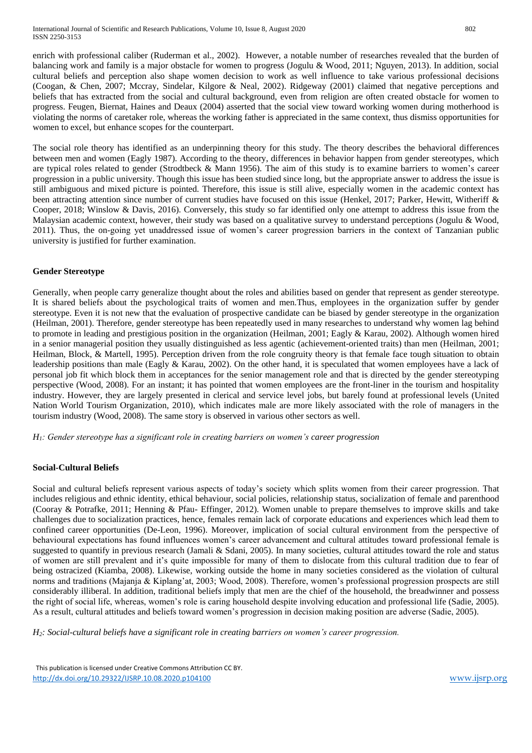enrich with professional caliber (Ruderman et al., 2002). However, a notable number of researches revealed that the burden of balancing work and family is a major obstacle for women to progress (Jogulu & Wood, 2011; Nguyen, 2013). In addition, social cultural beliefs and perception also shape women decision to work as well influence to take various professional decisions (Coogan, & Chen, 2007; Mccray, Sindelar, Kilgore & Neal, 2002). Ridgeway (2001) claimed that negative perceptions and beliefs that has extracted from the social and cultural background, even from religion are often created obstacle for women to progress. Feugen, Biernat, Haines and Deaux (2004) asserted that the social view toward working women during motherhood is violating the norms of caretaker role, whereas the working father is appreciated in the same context, thus dismiss opportunities for women to excel, but enhance scopes for the counterpart.

The social role theory has identified as an underpinning theory for this study. The theory describes the behavioral differences between men and women (Eagly 1987). According to the theory, differences in behavior happen from gender stereotypes, which are typical roles related to gender (Strodtbeck & Mann 1956). The aim of this study is to examine barriers to women's career progression in a public university. Though this issue has been studied since long, but the appropriate answer to address the issue is still ambiguous and mixed picture is pointed. Therefore, this issue is still alive, especially women in the academic context has been attracting attention since number of current studies have focused on this issue (Henkel, 2017; Parker, Hewitt, Witheriff & Cooper, 2018; Winslow & Davis, 2016). Conversely, this study so far identified only one attempt to address this issue from the Malaysian academic context, however, their study was based on a qualitative survey to understand perceptions (Jogulu & Wood, 2011). Thus, the on-going yet unaddressed issue of women's career progression barriers in the context of Tanzanian public university is justified for further examination.

# **Gender Stereotype**

Generally, when people carry generalize thought about the roles and abilities based on gender that represent as gender stereotype. It is shared beliefs about the psychological traits of women and men.Thus, employees in the organization suffer by gender stereotype. Even it is not new that the evaluation of prospective candidate can be biased by gender stereotype in the organization (Heilman, 2001). Therefore, gender stereotype has been repeatedly used in many researches to understand why women lag behind to promote in leading and prestigious position in the organization (Heilman, 2001; Eagly & Karau, 2002). Although women hired in a senior managerial position they usually distinguished as less agentic (achievement-oriented traits) than men (Heilman, 2001; Heilman, Block, & Martell, 1995). Perception driven from the role congruity theory is that female face tough situation to obtain leadership positions than male (Eagly & Karau, 2002). On the other hand, it is speculated that women employees have a lack of personal job fit which block them in acceptances for the senior management role and that is directed by the gender stereotyping perspective (Wood, 2008). For an instant; it has pointed that women employees are the front-liner in the tourism and hospitality industry. However, they are largely presented in clerical and service level jobs, but barely found at professional levels (United Nation World Tourism Organization, 2010), which indicates male are more likely associated with the role of managers in the tourism industry (Wood, 2008). The same story is observed in various other sectors as well.

*H1: Gender stereotype has a significant role in creating barriers on women's career progression*

#### **Social-Cultural Beliefs**

Social and cultural beliefs represent various aspects of today's society which splits women from their career progression. That includes religious and ethnic identity, ethical behaviour, social policies, relationship status, socialization of female and parenthood (Cooray & Potrafke, 2011; Henning & Pfau- Effinger, 2012). Women unable to prepare themselves to improve skills and take challenges due to socialization practices, hence, females remain lack of corporate educations and experiences which lead them to confined career opportunities (De-Leon, 1996). Moreover, implication of social cultural environment from the perspective of behavioural expectations has found influences women's career advancement and cultural attitudes toward professional female is suggested to quantify in previous research (Jamali & Sdani, 2005). In many societies, cultural attitudes toward the role and status of women are still prevalent and it's quite impossible for many of them to dislocate from this cultural tradition due to fear of being ostracized (Kiamba, 2008). Likewise, working outside the home in many societies considered as the violation of cultural norms and traditions (Majanja & Kiplang'at, 2003; Wood, 2008). Therefore, women's professional progression prospects are still considerably illiberal. In addition, traditional beliefs imply that men are the chief of the household, the breadwinner and possess the right of social life, whereas, women's role is caring household despite involving education and professional life (Sadie, 2005). As a result, cultural attitudes and beliefs toward women's progression in decision making position are adverse (Sadie, 2005).

*H2: Social-cultural beliefs have a significant role in creating barriers on women's career progression.*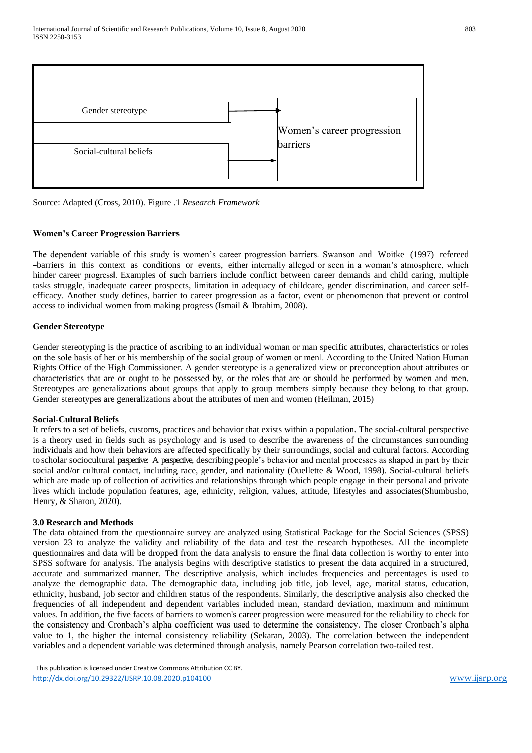

Source: Adapted (Cross, 2010). Figure .1 *Research Framework*

# **Women's Career Progression Barriers**

The dependent variable of this study is women's career progression barriers. Swanson and Woitke (1997) refereed ―barriers in this context as conditions or events, either internally alleged or seen in a woman's atmosphere, which hinder career progress‖. Examples of such barriers include conflict between career demands and child caring, multiple tasks struggle, inadequate career prospects, limitation in adequacy of childcare, gender discrimination, and career selfefficacy. Another study defines, barrier to career progression as a factor, event or phenomenon that prevent or control access to individual women from making progress (Ismail & Ibrahim, 2008).

# **Gender Stereotype**

Gender stereotyping is the practice of ascribing to an individual woman or man specific attributes, characteristics or roles on the sole basis of her or his membership of the social group of women or men‖. According to the United Nation Human Rights Office of the High Commissioner. A gender stereotype is a generalized view or preconception about attributes or characteristics that are or ought to be possessed by, or the roles that are or should be performed by women and men. Stereotypes are generalizations about groups that apply to group members simply because they belong to that group. Gender stereotypes are generalizations about the attributes of men and women (Heilman, 2015)

# **Social-Cultural Beliefs**

It refers to a set of beliefs, customs, practices and behavior that exists within a population. The social-cultural perspective is a theory used in fields such as psychology and is used to describe the awareness of the circumstances surrounding individuals and how their behaviors are affected specifically by their surroundings, social and cultural factors. According to scholar sociocultural perspective: A perspective, describing people's behavior and mental processes as shaped in part by their social and/or cultural contact, including race, gender, and nationality (Ouellette & Wood, 1998). Social-cultural beliefs which are made up of collection of activities and relationships through which people engage in their personal and private lives which include population features, age, ethnicity, religion, values, attitude, lifestyles and associates(Shumbusho, Henry, & Sharon, 2020).

# **3.0 Research and Methods**

The data obtained from the questionnaire survey are analyzed using Statistical Package for the Social Sciences (SPSS) version 23 to analyze the validity and reliability of the data and test the research hypotheses. All the incomplete questionnaires and data will be dropped from the data analysis to ensure the final data collection is worthy to enter into SPSS software for analysis. The analysis begins with descriptive statistics to present the data acquired in a structured, accurate and summarized manner. The descriptive analysis, which includes frequencies and percentages is used to analyze the demographic data. The demographic data, including job title, job level, age, marital status, education, ethnicity, husband, job sector and children status of the respondents. Similarly, the descriptive analysis also checked the frequencies of all independent and dependent variables included mean, standard deviation, maximum and minimum values. In addition, the five facets of barriers to women's career progression were measured for the reliability to check for the consistency and Cronbach's alpha coefficient was used to determine the consistency. The closer Cronbach's alpha value to 1, the higher the internal consistency reliability (Sekaran, 2003). The correlation between the independent variables and a dependent variable was determined through analysis, namely Pearson correlation two-tailed test.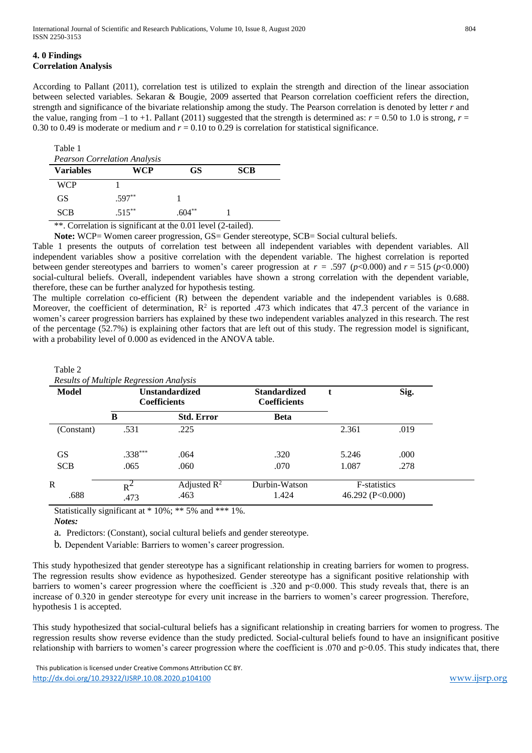According to Pallant (2011), correlation test is utilized to explain the strength and direction of the linear association between selected variables. Sekaran & Bougie, 2009 asserted that Pearson correlation coefficient refers the direction, strength and significance of the bivariate relationship among the study. The Pearson correlation is denoted by letter *r* and the value, ranging from  $-1$  to  $+1$ . Pallant (2011) suggested that the strength is determined as:  $r = 0.50$  to 1.0 is strong,  $r =$ 0.30 to 0.49 is moderate or medium and  $r = 0.10$  to 0.29 is correlation for statistical significance.

| Table 1          |                                     |           |            |  |
|------------------|-------------------------------------|-----------|------------|--|
|                  | <b>Pearson Correlation Analysis</b> |           |            |  |
| <b>Variables</b> | WCP                                 | <b>GS</b> | <b>SCB</b> |  |
| <b>WCP</b>       |                                     |           |            |  |
| GS               | $.597**$                            |           |            |  |
| <b>SCB</b>       | $.515***$                           | $604**$   |            |  |

\*\*. Correlation is significant at the 0.01 level (2-tailed).

**Note:** WCP= Women career progression, GS= Gender stereotype, SCB= Social cultural beliefs.

Table 1 presents the outputs of correlation test between all independent variables with dependent variables. All independent variables show a positive correlation with the dependent variable. The highest correlation is reported between gender stereotypes and barriers to women's career progression at  $r = .597$  ( $p < 0.000$ ) and  $r = 515$  ( $p < 0.000$ ) social-cultural beliefs. Overall, independent variables have shown a strong correlation with the dependent variable, therefore, these can be further analyzed for hypothesis testing.

The multiple correlation co-efficient (R) between the dependent variable and the independent variables is 0.688. Moreover, the coefficient of determination,  $\mathbb{R}^2$  is reported .473 which indicates that 47.3 percent of the variance in women's career progression barriers has explained by these two independent variables analyzed in this research. The rest of the percentage (52.7%) is explaining other factors that are left out of this study. The regression model is significant, with a probability level of 0.000 as evidenced in the ANOVA table.

| Model      |           | <b>Unstandardized</b><br><b>Coefficients</b> | <b>Standardized</b><br><b>Coefficients</b> | t                    | Sig. |
|------------|-----------|----------------------------------------------|--------------------------------------------|----------------------|------|
|            | B         | <b>Std. Error</b>                            | <b>Beta</b>                                |                      |      |
| (Constant) | .531      | .225                                         |                                            | 2.361                | .019 |
| <b>GS</b>  | $.338***$ | .064                                         | .320                                       | 5.246                | .000 |
| <b>SCB</b> | .065      | .060                                         | .070                                       | 1.087                | .278 |
| R          | $R^2$     | Adjusted $\mathbb{R}^2$                      | Durbin-Watson                              | F-statistics         |      |
| .688       | .473      | .463                                         | 1.424                                      | 46.292 ( $P<0.000$ ) |      |

Table 2

Statistically significant at \* 10%; \*\* 5% and \*\*\* 1%.

#### *Notes:*

a. Predictors: (Constant), social cultural beliefs and gender stereotype.

b. Dependent Variable: Barriers to women's career progression.

This study hypothesized that gender stereotype has a significant relationship in creating barriers for women to progress. The regression results show evidence as hypothesized. Gender stereotype has a significant positive relationship with barriers to women's career progression where the coefficient is .320 and p<0.000. This study reveals that, there is an increase of 0.320 in gender stereotype for every unit increase in the barriers to women's career progression. Therefore, hypothesis 1 is accepted.

This study hypothesized that social-cultural beliefs has a significant relationship in creating barriers for women to progress. The regression results show reverse evidence than the study predicted. Social-cultural beliefs found to have an insignificant positive relationship with barriers to women's career progression where the coefficient is .070 and p>0.05. This study indicates that, there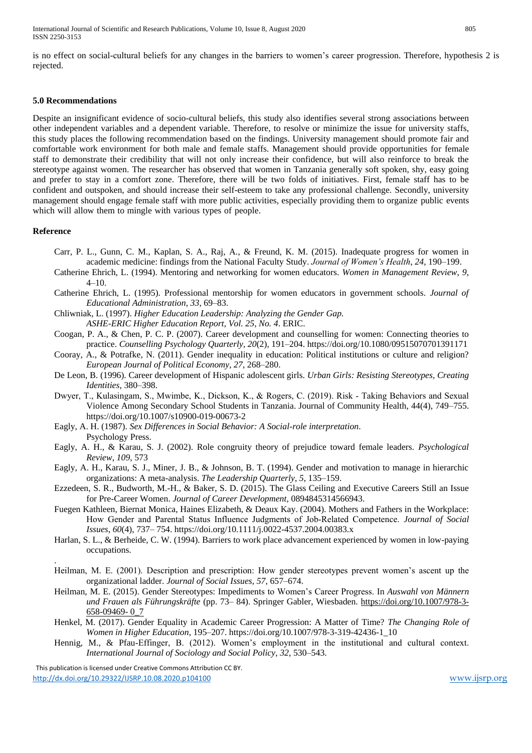is no effect on social-cultural beliefs for any changes in the barriers to women's career progression. Therefore, hypothesis 2 is rejected.

#### **5.0 Recommendations**

Despite an insignificant evidence of socio-cultural beliefs, this study also identifies several strong associations between other independent variables and a dependent variable. Therefore, to resolve or minimize the issue for university staffs, this study places the following recommendation based on the findings. University management should promote fair and comfortable work environment for both male and female staffs. Management should provide opportunities for female staff to demonstrate their credibility that will not only increase their confidence, but will also reinforce to break the stereotype against women. The researcher has observed that women in Tanzania generally soft spoken, shy, easy going and prefer to stay in a comfort zone. Therefore, there will be two folds of initiatives. First, female staff has to be confident and outspoken, and should increase their self-esteem to take any professional challenge. Secondly, university management should engage female staff with more public activities, especially providing them to organize public events which will allow them to mingle with various types of people.

#### **Reference**

.

- Carr, P. L., Gunn, C. M., Kaplan, S. A., Raj, A., & Freund, K. M. (2015). Inadequate progress for women in academic medicine: findings from the National Faculty Study. *Journal of Women's Health*, *24*, 190–199.
- Catherine Ehrich, L. (1994). Mentoring and networking for women educators. *Women in Management Review*, *9*, 4–10.
- Catherine Ehrich, L. (1995). Professional mentorship for women educators in government schools. *Journal of Educational Administration*, *33*, 69–83.

Chliwniak, L. (1997). *Higher Education Leadership: Analyzing the Gender Gap. ASHE-ERIC Higher Education Report, Vol. 25, No. 4*. ERIC.

- Coogan, P. A., & Chen, P. C. P. (2007). Career development and counselling for women: Connecting theories to practice. *Counselling Psychology Quarterly*, *20*(2), 191–204. https://doi.org/10.1080/09515070701391171
- Cooray, A., & Potrafke, N. (2011). Gender inequality in education: Political institutions or culture and religion? *European Journal of Political Economy*, *27*, 268–280.
- De Leon, B. (1996). Career development of Hispanic adolescent girls. *Urban Girls: Resisting Stereotypes, Creating Identities*, 380–398.
- Dwyer, T., Kulasingam, S., Mwimbe, K., Dickson, K., & Rogers, C. (2019). Risk ‑ Taking Behaviors and Sexual Violence Among Secondary School Students in Tanzania. Journal of Community Health, 44(4), 749–755. https://doi.org/10.1007/s10900-019-00673-2
- Eagly, A. H. (1987). *Sex Differences in Social Behavior: A Social-role interpretation*. Psychology Press.
- Eagly, A. H., & Karau, S. J. (2002). Role congruity theory of prejudice toward female leaders. *Psychological Review*, *109*, 573
- Eagly, A. H., Karau, S. J., Miner, J. B., & Johnson, B. T. (1994). Gender and motivation to manage in hierarchic organizations: A meta-analysis. *The Leadership Quarterly*, *5*, 135–159.
- Ezzedeen, S. R., Budworth, M.-H., & Baker, S. D. (2015). The Glass Ceiling and Executive Careers Still an Issue for Pre-Career Women. *Journal of Career Development*, 0894845314566943.
- Fuegen Kathleen, Biernat Monica, Haines Elizabeth, & Deaux Kay. (2004). Mothers and Fathers in the Workplace: How Gender and Parental Status Influence Judgments of Job‐Related Competence. *Journal of Social Issues*, *60*(4), 737– 754. https://doi.org/10.1111/j.0022-4537.2004.00383.x
- Harlan, S. L., & Berheide, C. W. (1994). Barriers to work place advancement experienced by women in low-paying occupations.
- Heilman, M. E. (2001). Description and prescription: How gender stereotypes prevent women's ascent up the organizational ladder. *Journal of Social Issues*, *57*, 657–674.
- Heilman, M. E. (2015). Gender Stereotypes: Impediments to Women's Career Progress. In *Auswahl von Männern und Frauen als Führungskräfte* (pp. 73– 84). Springer Gabler, Wiesbaden. [https://doi.org/10.1007/978-3-](https://doi.org/10.1007/978-3-658-09469-%200_7) [658-09469-](https://doi.org/10.1007/978-3-658-09469-%200_7) 0\_7
- Henkel, M. (2017). Gender Equality in Academic Career Progression: A Matter of Time? *The Changing Role of Women in Higher Education*, 195–207. https://doi.org/10.1007/978-3-319-42436-1\_10
- Hennig, M., & Pfau-Effinger, B. (2012). Women's employment in the institutional and cultural context. *International Journal of Sociology and Social Policy*, *32*, 530–543.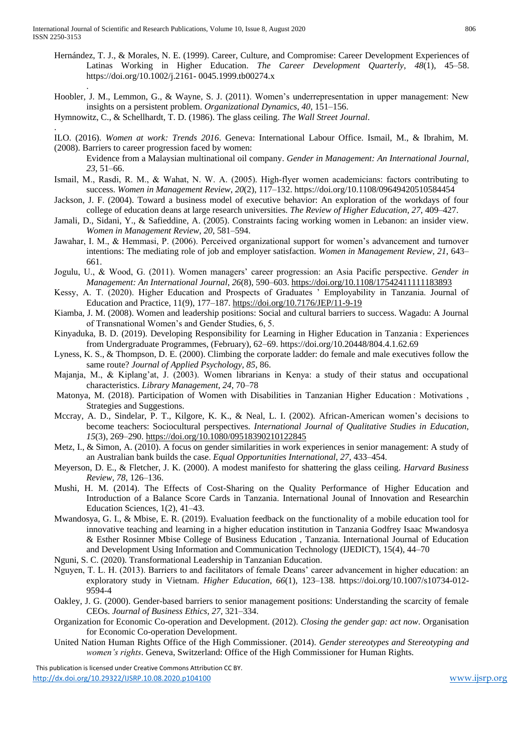.

.

- Hernández, T. J., & Morales, N. E. (1999). Career, Culture, and Compromise: Career Development Experiences of Latinas Working in Higher Education. *The Career Development Quarterly*, *48*(1), 45–58. https://doi.org/10.1002/j.2161- 0045.1999.tb00274.x
- Hoobler, J. M., Lemmon, G., & Wayne, S. J. (2011). Women's underrepresentation in upper management: New insights on a persistent problem. *Organizational Dynamics*, *40*, 151–156.

Hymnowitz, C., & Schellhardt, T. D. (1986). The glass ceiling. *The Wall Street Journal*.

- ILO. (2016). *Women at work: Trends 2016*. Geneva: International Labour Office. Ismail, M., & Ibrahim, M. (2008). Barriers to career progression faced by women:
	- Evidence from a Malaysian multinational oil company. *Gender in Management: An International Journal*, *23*, 51–66.
- Ismail, M., Rasdi, R. M., & Wahat, N. W. A. (2005). High‐flyer women academicians: factors contributing to success. *Women in Management Review*, *20*(2), 117–132. https://doi.org/10.1108/09649420510584454
- Jackson, J. F. (2004). Toward a business model of executive behavior: An exploration of the workdays of four college of education deans at large research universities. *The Review of Higher Education*, *27*, 409–427.
- Jamali, D., Sidani, Y., & Safieddine, A. (2005). Constraints facing working women in Lebanon: an insider view. *Women in Management Review*, *20*, 581–594.
- Jawahar, I. M., & Hemmasi, P. (2006). Perceived organizational support for women's advancement and turnover intentions: The mediating role of job and employer satisfaction. *Women in Management Review*, *21*, 643– 661.
- Jogulu, U., & Wood, G. (2011). Women managers' career progression: an Asia Pacific perspective. *Gender in Management: An International Journal*, *26*(8), 590–603. <https://doi.org/10.1108/17542411111183893>
- Kessy, A. T. (2020). Higher Education and Prospects of Graduates ' Employability in Tanzania. Journal of Education and Practice, 11(9), 177–187[. https://doi.org/10.7176/JEP/11-9-19](https://doi.org/10.7176/JEP/11-9-19)
- Kiamba, J. M. (2008). Women and leadership positions: Social and cultural barriers to success. Wagadu: A Journal of Transnational Women's and Gender Studies, 6, 5.
- Kinyaduka, B. D. (2019). Developing Responsibility for Learning in Higher Education in Tanzania : Experiences from Undergraduate Programmes, (February), 62–69. https://doi.org/10.20448/804.4.1.62.69
- Lyness, K. S., & Thompson, D. E. (2000). Climbing the corporate ladder: do female and male executives follow the same route? *Journal of Applied Psychology*, *85*, 86.
- Majanja, M., & Kiplang'at, J. (2003). Women librarians in Kenya: a study of their status and occupational characteristics. *Library Management*, *24*, 70–78
- Matonya, M. (2018). Participation of Women with Disabilities in Tanzanian Higher Education : Motivations , Strategies and Suggestions.
- Mccray, A. D., Sindelar, P. T., Kilgore, K. K., & Neal, L. I. (2002). African-American women's decisions to become teachers: Sociocultural perspectives. *International Journal of Qualitative Studies in Education*, *15*(3), 269–290.<https://doi.org/10.1080/09518390210122845>
- Metz, I., & Simon, A. (2010). A focus on gender similarities in work experiences in senior management: A study of an Australian bank builds the case. *Equal Opportunities International*, *27*, 433–454.
- Meyerson, D. E., & Fletcher, J. K. (2000). A modest manifesto for shattering the glass ceiling. *Harvard Business Review*, *78*, 126–136.
- Mushi, H. M. (2014). The Effects of Cost-Sharing on the Quality Performance of Higher Education and Introduction of a Balance Score Cards in Tanzania. International Jounal of Innovation and Researchin Education Sciences, 1(2), 41–43.
- Mwandosya, G. I., & Mbise, E. R. (2019). Evaluation feedback on the functionality of a mobile education tool for innovative teaching and learning in a higher education institution in Tanzania Godfrey Isaac Mwandosya & Esther Rosinner Mbise College of Business Education , Tanzania. International Journal of Education and Development Using Information and Communication Technology (IJEDICT), 15(4), 44–70
- Nguni, S. C. (2020). Transformational Leadership in Tanzanian Education.
- Nguyen, T. L. H. (2013). Barriers to and facilitators of female Deans' career advancement in higher education: an exploratory study in Vietnam. *Higher Education*, *66*(1), 123–138. https://doi.org/10.1007/s10734-012- 9594-4
- Oakley, J. G. (2000). Gender-based barriers to senior management positions: Understanding the scarcity of female CEOs. *Journal of Business Ethics*, *27*, 321–334.
- Organization for Economic Co-operation and Development. (2012). *Closing the gender gap: act now*. Organisation for Economic Co-operation Development.
- United Nation Human Rights Office of the High Commissioner. (2014). *Gender stereotypes and Stereotyping and women's rights*. Geneva, Switzerland: Office of the High Commissioner for Human Rights.

This publication is licensed under Creative Commons Attribution CC BY.

<http://dx.doi.org/10.29322/IJSRP.10.08.2020.p104100> [www.ijsrp.org](http://ijsrp.org/)